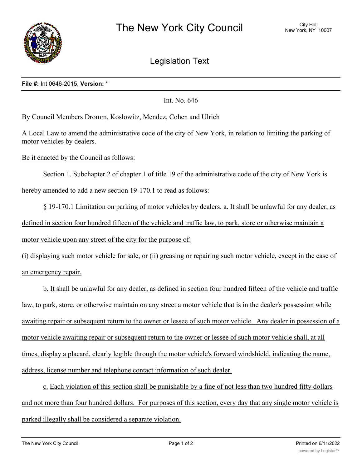

Legislation Text

## **File #:** Int 0646-2015, **Version:** \*

Int. No. 646

By Council Members Dromm, Koslowitz, Mendez, Cohen and Ulrich

A Local Law to amend the administrative code of the city of New York, in relation to limiting the parking of motor vehicles by dealers.

Be it enacted by the Council as follows:

Section 1. Subchapter 2 of chapter 1 of title 19 of the administrative code of the city of New York is

hereby amended to add a new section 19-170.1 to read as follows:

§ 19-170.1 Limitation on parking of motor vehicles by dealers. a. It shall be unlawful for any dealer, as defined in section four hundred fifteen of the vehicle and traffic law, to park, store or otherwise maintain a motor vehicle upon any street of the city for the purpose of:

(i) displaying such motor vehicle for sale, or (ii) greasing or repairing such motor vehicle, except in the case of an emergency repair.

b. It shall be unlawful for any dealer, as defined in section four hundred fifteen of the vehicle and traffic law, to park, store, or otherwise maintain on any street a motor vehicle that is in the dealer's possession while awaiting repair or subsequent return to the owner or lessee of such motor vehicle. Any dealer in possession of a motor vehicle awaiting repair or subsequent return to the owner or lessee of such motor vehicle shall, at all times, display a placard, clearly legible through the motor vehicle's forward windshield, indicating the name, address, license number and telephone contact information of such dealer.

c. Each violation of this section shall be punishable by a fine of not less than two hundred fifty dollars and not more than four hundred dollars. For purposes of this section, every day that any single motor vehicle is parked illegally shall be considered a separate violation.